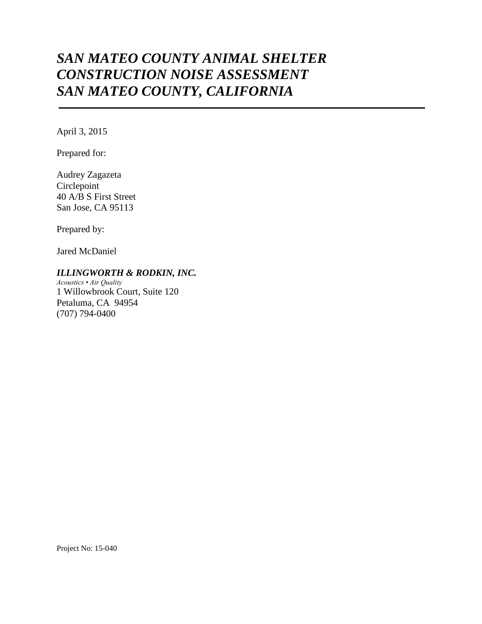# *SAN MATEO COUNTY ANIMAL SHELTER CONSTRUCTION NOISE ASSESSMENT SAN MATEO COUNTY, CALIFORNIA*

April 3, 2015

Prepared for:

Audrey Zagazeta Circlepoint 40 A/B S First Street San Jose, CA 95113

Prepared by:

Jared McDaniel

## *ILLINGWORTH & RODKIN, INC.*

*Acoustics • Air Quality* 1 Willowbrook Court, Suite 120 Petaluma, CA 94954 (707) 794-0400

Project No: 15-040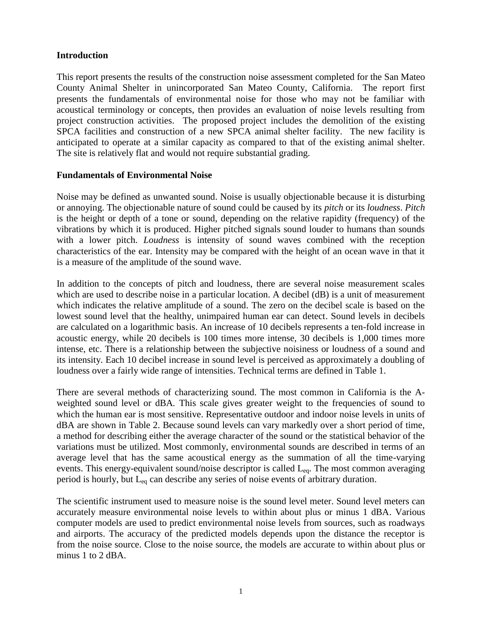## **Introduction**

This report presents the results of the construction noise assessment completed for the San Mateo County Animal Shelter in unincorporated San Mateo County, California. The report first presents the fundamentals of environmental noise for those who may not be familiar with acoustical terminology or concepts, then provides an evaluation of noise levels resulting from project construction activities. The proposed project includes the demolition of the existing SPCA facilities and construction of a new SPCA animal shelter facility. The new facility is anticipated to operate at a similar capacity as compared to that of the existing animal shelter. The site is relatively flat and would not require substantial grading.

### **Fundamentals of Environmental Noise**

Noise may be defined as unwanted sound. Noise is usually objectionable because it is disturbing or annoying. The objectionable nature of sound could be caused by its *pitch* or its *loudness*. *Pitch* is the height or depth of a tone or sound, depending on the relative rapidity (frequency) of the vibrations by which it is produced. Higher pitched signals sound louder to humans than sounds with a lower pitch. *Loudness* is intensity of sound waves combined with the reception characteristics of the ear. Intensity may be compared with the height of an ocean wave in that it is a measure of the amplitude of the sound wave.

In addition to the concepts of pitch and loudness, there are several noise measurement scales which are used to describe noise in a particular location. A decibel (dB) is a unit of measurement which indicates the relative amplitude of a sound. The zero on the decibel scale is based on the lowest sound level that the healthy, unimpaired human ear can detect. Sound levels in decibels are calculated on a logarithmic basis. An increase of 10 decibels represents a ten-fold increase in acoustic energy, while 20 decibels is 100 times more intense, 30 decibels is 1,000 times more intense, etc. There is a relationship between the subjective noisiness or loudness of a sound and its intensity. Each 10 decibel increase in sound level is perceived as approximately a doubling of loudness over a fairly wide range of intensities. Technical terms are defined in Table 1.

There are several methods of characterizing sound. The most common in California is the Aweighted sound level or dBA*.* This scale gives greater weight to the frequencies of sound to which the human ear is most sensitive. Representative outdoor and indoor noise levels in units of dBA are shown in Table 2. Because sound levels can vary markedly over a short period of time, a method for describing either the average character of the sound or the statistical behavior of the variations must be utilized. Most commonly, environmental sounds are described in terms of an average level that has the same acoustical energy as the summation of all the time-varying events. This energy-equivalent sound/noise descriptor is called L<sub>eq</sub>. The most common averaging period is hourly, but Leq can describe any series of noise events of arbitrary duration.

The scientific instrument used to measure noise is the sound level meter. Sound level meters can accurately measure environmental noise levels to within about plus or minus 1 dBA. Various computer models are used to predict environmental noise levels from sources, such as roadways and airports. The accuracy of the predicted models depends upon the distance the receptor is from the noise source. Close to the noise source, the models are accurate to within about plus or minus 1 to 2 dBA.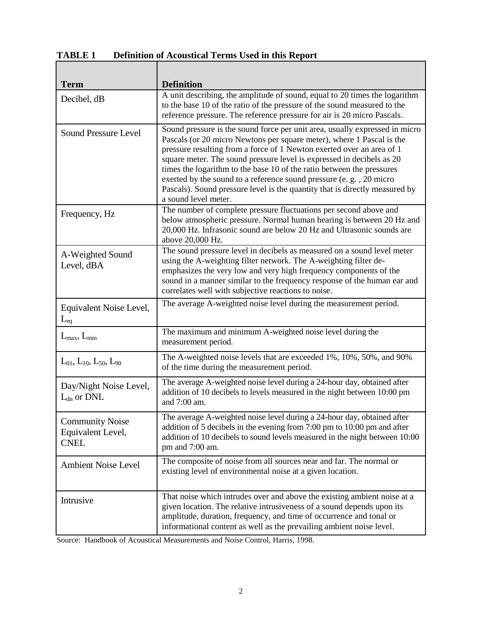| <b>TABLE 1</b> |  | <b>Definition of Acoustical Terms Used in this Report</b> |  |  |  |  |
|----------------|--|-----------------------------------------------------------|--|--|--|--|
|----------------|--|-----------------------------------------------------------|--|--|--|--|

| <b>Term</b>                                                | <b>Definition</b>                                                                                                                                                                                                                                                                                                                                                                                                                                                                                                                                            |
|------------------------------------------------------------|--------------------------------------------------------------------------------------------------------------------------------------------------------------------------------------------------------------------------------------------------------------------------------------------------------------------------------------------------------------------------------------------------------------------------------------------------------------------------------------------------------------------------------------------------------------|
| Decibel, dB                                                | A unit describing, the amplitude of sound, equal to 20 times the logarithm<br>to the base 10 of the ratio of the pressure of the sound measured to the<br>reference pressure. The reference pressure for air is 20 micro Pascals.                                                                                                                                                                                                                                                                                                                            |
| <b>Sound Pressure Level</b>                                | Sound pressure is the sound force per unit area, usually expressed in micro<br>Pascals (or 20 micro Newtons per square meter), where 1 Pascal is the<br>pressure resulting from a force of 1 Newton exerted over an area of 1<br>square meter. The sound pressure level is expressed in decibels as 20<br>times the logarithm to the base 10 of the ratio between the pressures<br>exerted by the sound to a reference sound pressure (e.g., 20 micro<br>Pascals). Sound pressure level is the quantity that is directly measured by<br>a sound level meter. |
| Frequency, Hz                                              | The number of complete pressure fluctuations per second above and<br>below atmospheric pressure. Normal human hearing is between 20 Hz and<br>20,000 Hz. Infrasonic sound are below 20 Hz and Ultrasonic sounds are<br>above 20,000 Hz.                                                                                                                                                                                                                                                                                                                      |
| A-Weighted Sound<br>Level, dBA                             | The sound pressure level in decibels as measured on a sound level meter<br>using the A-weighting filter network. The A-weighting filter de-<br>emphasizes the very low and very high frequency components of the<br>sound in a manner similar to the frequency response of the human ear and<br>correlates well with subjective reactions to noise.                                                                                                                                                                                                          |
| Equivalent Noise Level,<br>$L_{eq}$                        | The average A-weighted noise level during the measurement period.                                                                                                                                                                                                                                                                                                                                                                                                                                                                                            |
| $L_{\text{max}}$ , $L_{\text{min}}$                        | The maximum and minimum A-weighted noise level during the<br>measurement period.                                                                                                                                                                                                                                                                                                                                                                                                                                                                             |
| $L_{01}$ , $L_{10}$ , $L_{50}$ , $L_{90}$                  | The A-weighted noise levels that are exceeded 1%, 10%, 50%, and 90%<br>of the time during the measurement period.                                                                                                                                                                                                                                                                                                                                                                                                                                            |
| Day/Night Noise Level,<br>$L_{dn}$ or DNL                  | The average A-weighted noise level during a 24-hour day, obtained after<br>addition of 10 decibels to levels measured in the night between 10:00 pm<br>and 7:00 am.                                                                                                                                                                                                                                                                                                                                                                                          |
| <b>Community Noise</b><br>Equivalent Level,<br><b>CNEL</b> | The average A-weighted noise level during a 24-hour day, obtained after<br>addition of 5 decibels in the evening from 7:00 pm to 10:00 pm and after<br>addition of 10 decibels to sound levels measured in the night between 10:00<br>pm and 7:00 am.                                                                                                                                                                                                                                                                                                        |
| <b>Ambient Noise Level</b>                                 | The composite of noise from all sources near and far. The normal or<br>existing level of environmental noise at a given location.                                                                                                                                                                                                                                                                                                                                                                                                                            |
| Intrusive                                                  | That noise which intrudes over and above the existing ambient noise at a<br>given location. The relative intrusiveness of a sound depends upon its<br>amplitude, duration, frequency, and time of occurrence and tonal or<br>informational content as well as the prevailing ambient noise level.                                                                                                                                                                                                                                                            |

Source: Handbook of Acoustical Measurements and Noise Control, Harris, 1998.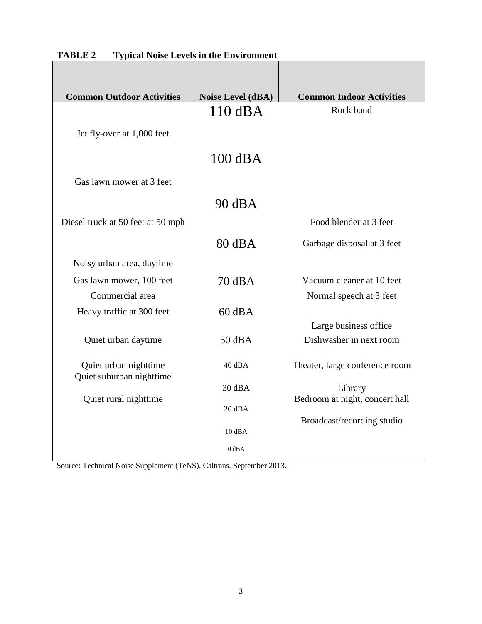| <b>Common Outdoor Activities</b>                  | Noise Level (dBA) | <b>Common Indoor Activities</b> |
|---------------------------------------------------|-------------------|---------------------------------|
|                                                   | $110$ dBA         | Rock band                       |
| Jet fly-over at 1,000 feet                        |                   |                                 |
|                                                   | 100 dBA           |                                 |
| Gas lawn mower at 3 feet                          |                   |                                 |
|                                                   | $90 \text{ dB}$   |                                 |
| Diesel truck at 50 feet at 50 mph                 |                   | Food blender at 3 feet          |
|                                                   | $80 \text{ dB}$ A | Garbage disposal at 3 feet      |
| Noisy urban area, daytime                         |                   |                                 |
| Gas lawn mower, 100 feet                          | 70 dBA            | Vacuum cleaner at 10 feet       |
| Commercial area                                   |                   | Normal speech at 3 feet         |
| Heavy traffic at 300 feet                         | $60$ dBA          |                                 |
|                                                   |                   | Large business office           |
| Quiet urban daytime                               | $50$ dBA          | Dishwasher in next room         |
| Quiet urban nighttime<br>Quiet suburban nighttime | 40 dBA            | Theater, large conference room  |
|                                                   | 30 dBA            | Library                         |
| Quiet rural nighttime                             | $20$ dBA          | Bedroom at night, concert hall  |
|                                                   | 10 dBA            | Broadcast/recording studio      |
|                                                   | $0$ dBA           |                                 |

|--|

Source: Technical Noise Supplement (TeNS), Caltrans, September 2013.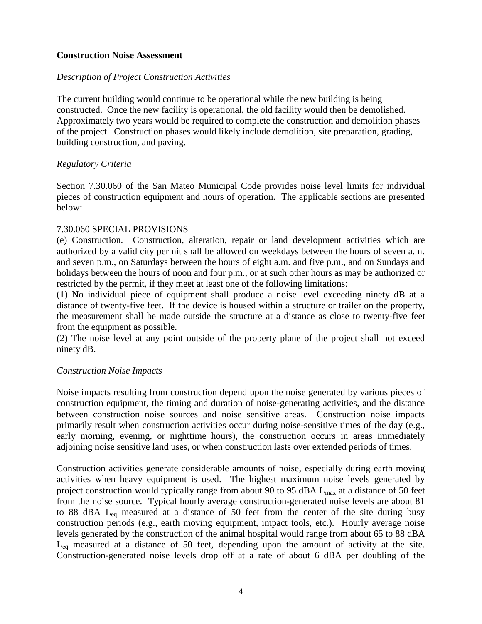### **Construction Noise Assessment**

#### *Description of Project Construction Activities*

The current building would continue to be operational while the new building is being constructed. Once the new facility is operational, the old facility would then be demolished. Approximately two years would be required to complete the construction and demolition phases of the project. Construction phases would likely include demolition, site preparation, grading, building construction, and paving.

### *Regulatory Criteria*

Section 7.30.060 of the San Mateo Municipal Code provides noise level limits for individual pieces of construction equipment and hours of operation. The applicable sections are presented below:

#### 7.30.060 SPECIAL PROVISIONS

(e) Construction. Construction, alteration, repair or land development activities which are authorized by a valid city permit shall be allowed on weekdays between the hours of seven a.m. and seven p.m., on Saturdays between the hours of eight a.m. and five p.m., and on Sundays and holidays between the hours of noon and four p.m., or at such other hours as may be authorized or restricted by the permit, if they meet at least one of the following limitations:

(1) No individual piece of equipment shall produce a noise level exceeding ninety dB at a distance of twenty-five feet. If the device is housed within a structure or trailer on the property, the measurement shall be made outside the structure at a distance as close to twenty-five feet from the equipment as possible.

(2) The noise level at any point outside of the property plane of the project shall not exceed ninety dB.

#### *Construction Noise Impacts*

Noise impacts resulting from construction depend upon the noise generated by various pieces of construction equipment, the timing and duration of noise-generating activities, and the distance between construction noise sources and noise sensitive areas. Construction noise impacts primarily result when construction activities occur during noise-sensitive times of the day (e.g., early morning, evening, or nighttime hours), the construction occurs in areas immediately adjoining noise sensitive land uses, or when construction lasts over extended periods of times.

Construction activities generate considerable amounts of noise, especially during earth moving activities when heavy equipment is used. The highest maximum noise levels generated by project construction would typically range from about 90 to 95 dBA  $L_{\text{max}}$  at a distance of 50 feet from the noise source. Typical hourly average construction-generated noise levels are about 81 to 88 dBA  $L_{eq}$  measured at a distance of 50 feet from the center of the site during busy construction periods (e.g., earth moving equipment, impact tools, etc.). Hourly average noise levels generated by the construction of the animal hospital would range from about 65 to 88 dBA  $L_{eq}$  measured at a distance of 50 feet, depending upon the amount of activity at the site. Construction-generated noise levels drop off at a rate of about 6 dBA per doubling of the